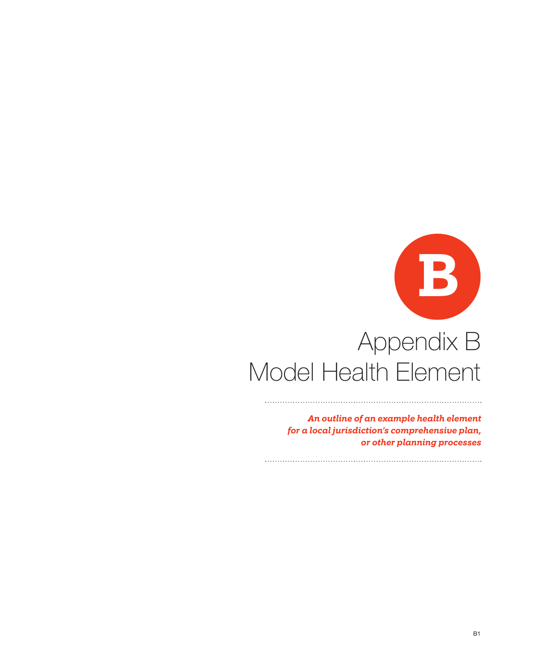# Appendix B Model Health Element **B**

*An outline of an example health element for a local jurisdiction's comprehensive plan, or other planning processes*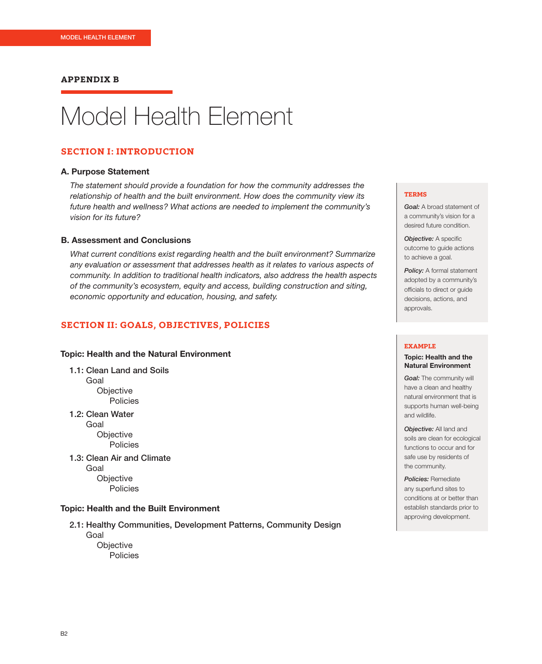#### **APPENDIX B**

# Model Health Element

#### **SECTION I: INTRODUCTION**

#### A. Purpose Statement

*The statement should provide a foundation for how the community addresses the relationship of health and the built environment. How does the community view its future health and wellness? What actions are needed to implement the community's vision for its future?*

#### B. Assessment and Conclusions

*What current conditions exist regarding health and the built environment? Summarize any evaluation or assessment that addresses health as it relates to various aspects of community. In addition to traditional health indicators, also address the health aspects of the community's ecosystem, equity and access, building construction and siting, economic opportunity and education, housing, and safety.*

# **SECTION II: GOALS, OBJECTIVES, POLICIES**

#### Topic: Health and the Natural Environment

1.1: Clean Land and Soils Goal **Objective** Policies

1.2: Clean Water Goal **Objective** Policies

1.3: Clean Air and Climate Goal **Objective** Policies

#### Topic: Health and the Built Environment

2.1: Healthy Communities, Development Patterns, Community Design Goal **Objective** 

**Policies** 

#### **TERMS**

*Goal:* A broad statement of a community's vision for a desired future condition.

*Objective:* A specific outcome to guide actions to achieve a goal.

*Policy:* A formal statement adopted by a community's officials to direct or guide decisions, actions, and approvals.

#### **EXAMPLE**

#### Topic: Health and the Natural Environment

*Goal:* The community will have a clean and healthy natural environment that is supports human well-being and wildlife.

*Objective:* All land and soils are clean for ecological functions to occur and for safe use by residents of the community.

*Policies:* Remediate any superfund sites to conditions at or better than establish standards prior to approving development.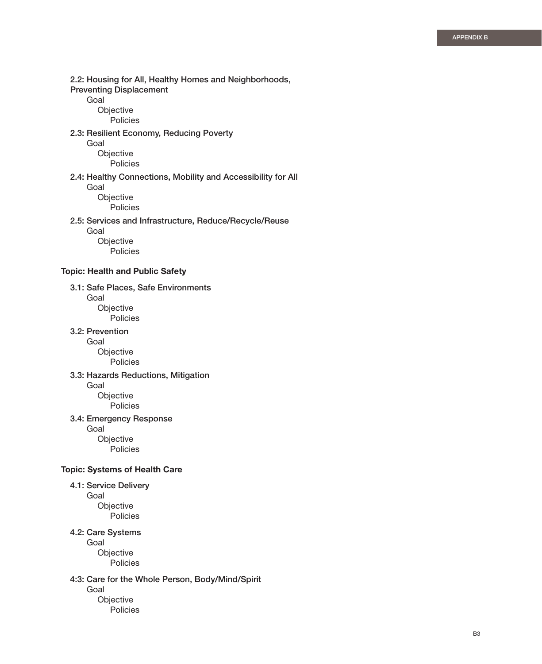2.2: Housing for All, Healthy Homes and Neighborhoods, Preventing Displacement Goal **Objective**  Policies 2.3: Resilient Economy, Reducing Poverty Goal **Objective**  Policies 2.4: Healthy Connections, Mobility and Accessibility for All Goal Objective Policies 2.5: Services and Infrastructure, Reduce/Recycle/Reuse Goal **Objective**  Policies Topic: Health and Public Safety 3.1: Safe Places, Safe Environments Goal **Objective**  Policies 3.2: Prevention Goal Objective Policies 3.3: Hazards Reductions, Mitigation Goal Objective Policies 3.4: Emergency Response Goal Objective Policies Topic: Systems of Health Care 4.1: Service Delivery Goal Objective Policies 4.2: Care Systems Goal **Objective**  Policies 4:3: Care for the Whole Person, Body/Mind/Spirit

Goal

**Objective** Policies